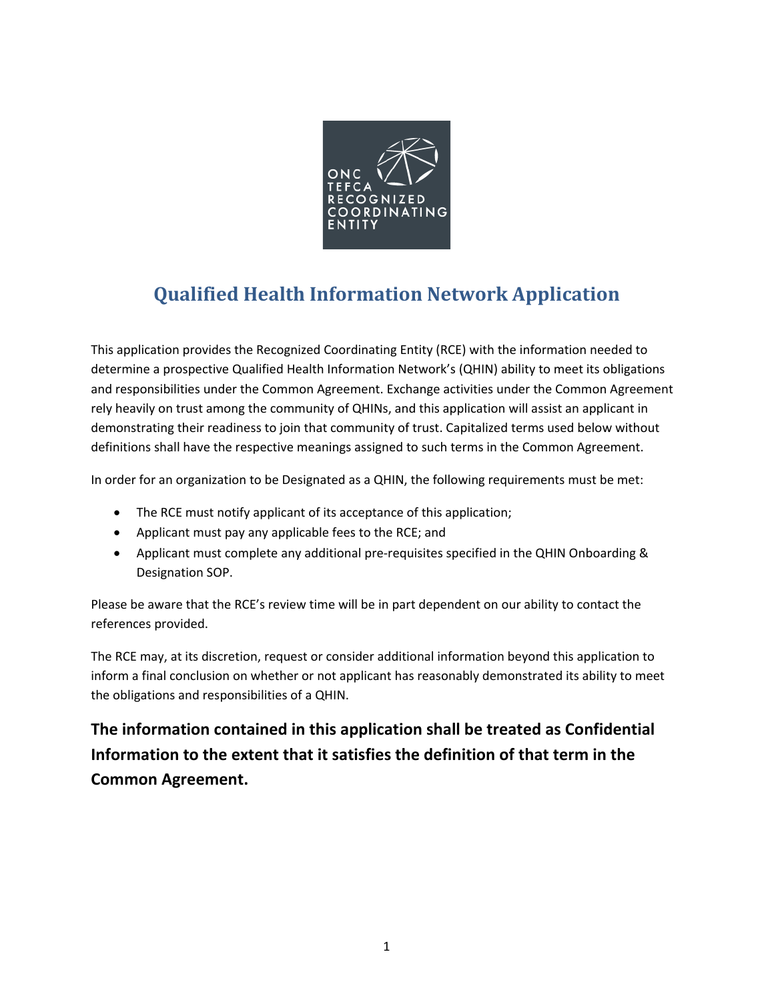

# **Qualified Health Information Network Application**

This application provides the Recognized Coordinating Entity (RCE) with the information needed to determine a prospective Qualified Health Information Network's (QHIN) ability to meet its obligations and responsibilities under the Common Agreement. Exchange activities under the Common Agreement rely heavily on trust among the community of QHINs, and this application will assist an applicant in demonstrating their readiness to join that community of trust. Capitalized terms used below without definitions shall have the respective meanings assigned to such terms in the Common Agreement.

In order for an organization to be Designated as a QHIN, the following requirements must be met:

- The RCE must notify applicant of its acceptance of this application;
- Applicant must pay any applicable fees to the RCE; and
- Applicant must complete any additional pre-requisites specified in the QHIN Onboarding & Designation SOP.

Please be aware that the RCE's review time will be in part dependent on our ability to contact the references provided.

The RCE may, at its discretion, request or consider additional information beyond this application to inform a final conclusion on whether or not applicant has reasonably demonstrated its ability to meet the obligations and responsibilities of a QHIN.

**The information contained in this application shall be treated as Confidential Information to the extent that it satisfies the definition of that term in the Common Agreement.**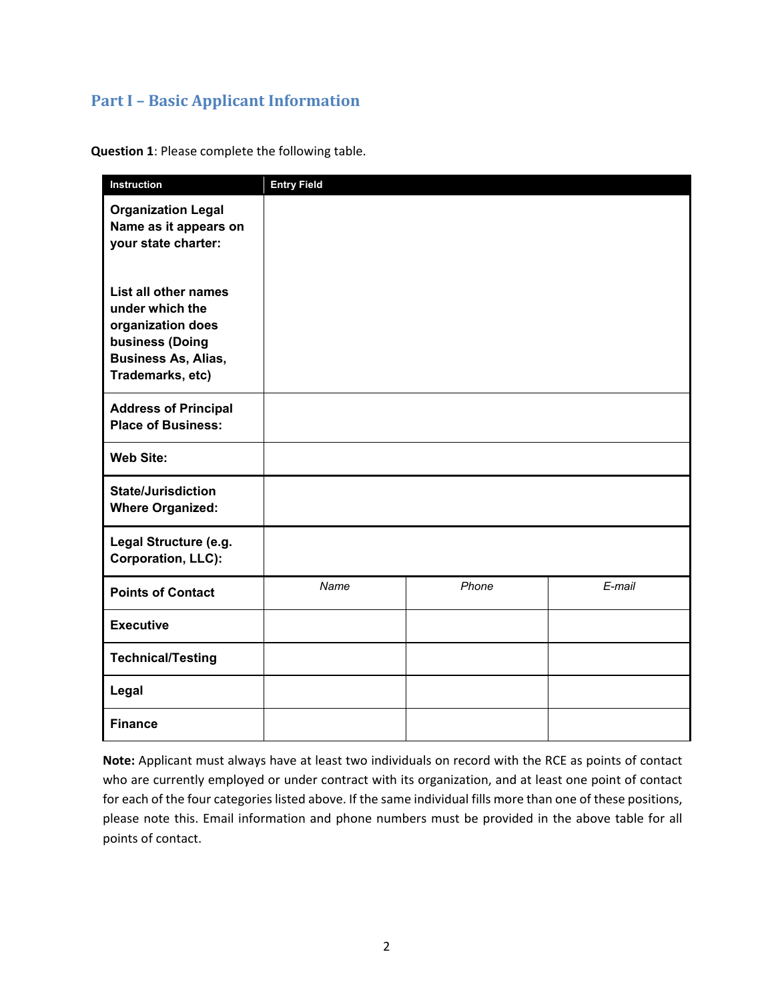# **Part I – Basic Applicant Information**

**Question 1**: Please complete the following table.

| Instruction                                                                                                                       | <b>Entry Field</b> |       |        |
|-----------------------------------------------------------------------------------------------------------------------------------|--------------------|-------|--------|
| <b>Organization Legal</b><br>Name as it appears on<br>your state charter:                                                         |                    |       |        |
| List all other names<br>under which the<br>organization does<br>business (Doing<br><b>Business As, Alias,</b><br>Trademarks, etc) |                    |       |        |
| <b>Address of Principal</b><br><b>Place of Business:</b>                                                                          |                    |       |        |
| <b>Web Site:</b>                                                                                                                  |                    |       |        |
| <b>State/Jurisdiction</b><br><b>Where Organized:</b>                                                                              |                    |       |        |
| Legal Structure (e.g.<br><b>Corporation, LLC):</b>                                                                                |                    |       |        |
| <b>Points of Contact</b>                                                                                                          | Name               | Phone | E-mail |
| <b>Executive</b>                                                                                                                  |                    |       |        |
| <b>Technical/Testing</b>                                                                                                          |                    |       |        |
| Legal                                                                                                                             |                    |       |        |
| <b>Finance</b>                                                                                                                    |                    |       |        |

**Note:** Applicant must always have at least two individuals on record with the RCE as points of contact who are currently employed or under contract with its organization, and at least one point of contact for each of the four categories listed above. If the same individual fills more than one of these positions, please note this. Email information and phone numbers must be provided in the above table for all points of contact.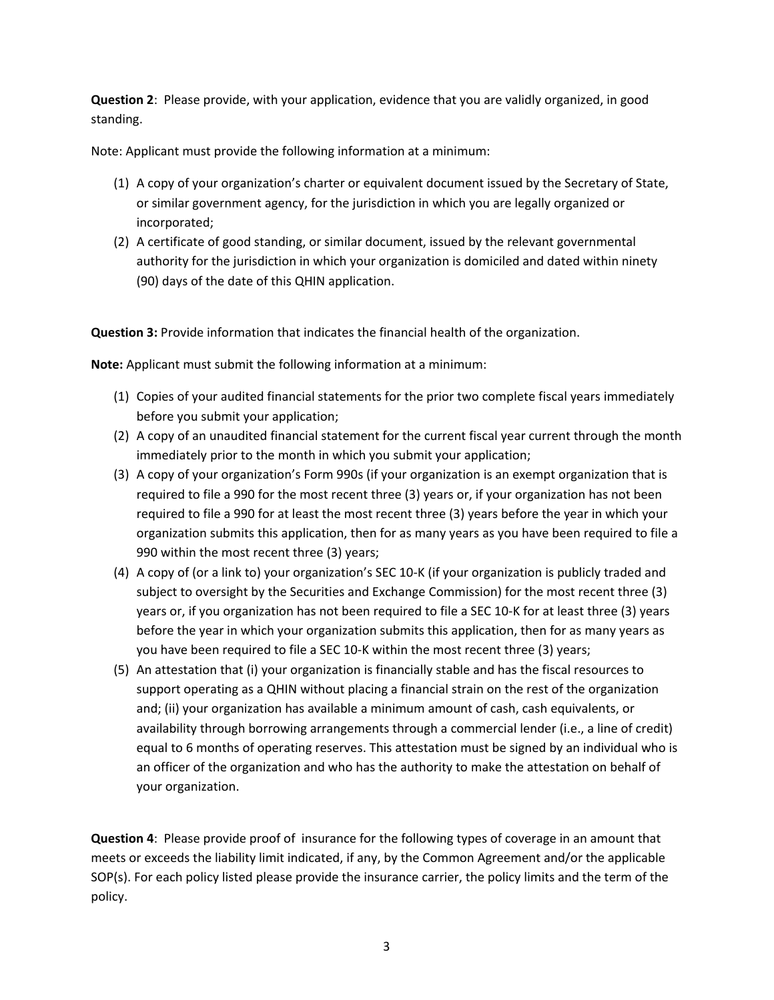**Question 2**: Please provide, with your application, evidence that you are validly organized, in good standing.

Note: Applicant must provide the following information at a minimum:

- (1) A copy of your organization's charter or equivalent document issued by the Secretary of State, or similar government agency, for the jurisdiction in which you are legally organized or incorporated;
- (2) A certificate of good standing, or similar document, issued by the relevant governmental authority for the jurisdiction in which your organization is domiciled and dated within ninety (90) days of the date of this QHIN application.

**Question 3:** Provide information that indicates the financial health of the organization.

**Note:** Applicant must submit the following information at a minimum:

- (1) Copies of your audited financial statements for the prior two complete fiscal years immediately before you submit your application;
- (2) A copy of an unaudited financial statement for the current fiscal year current through the month immediately prior to the month in which you submit your application;
- (3) A copy of your organization's Form 990s (if your organization is an exempt organization that is required to file a 990 for the most recent three (3) years or, if your organization has not been required to file a 990 for at least the most recent three (3) years before the year in which your organization submits this application, then for as many years as you have been required to file a 990 within the most recent three (3) years;
- (4) A copy of (or a link to) your organization's SEC 10-K (if your organization is publicly traded and subject to oversight by the Securities and Exchange Commission) for the most recent three (3) years or, if you organization has not been required to file a SEC 10-K for at least three (3) years before the year in which your organization submits this application, then for as many years as you have been required to file a SEC 10-K within the most recent three (3) years;
- (5) An attestation that (i) your organization is financially stable and has the fiscal resources to support operating as a QHIN without placing a financial strain on the rest of the organization and; (ii) your organization has available a minimum amount of cash, cash equivalents, or availability through borrowing arrangements through a commercial lender (i.e., a line of credit) equal to 6 months of operating reserves. This attestation must be signed by an individual who is an officer of the organization and who has the authority to make the attestation on behalf of your organization.

**Question 4**: Please provide proof of insurance for the following types of coverage in an amount that meets or exceeds the liability limit indicated, if any, by the Common Agreement and/or the applicable SOP(s). For each policy listed please provide the insurance carrier, the policy limits and the term of the policy.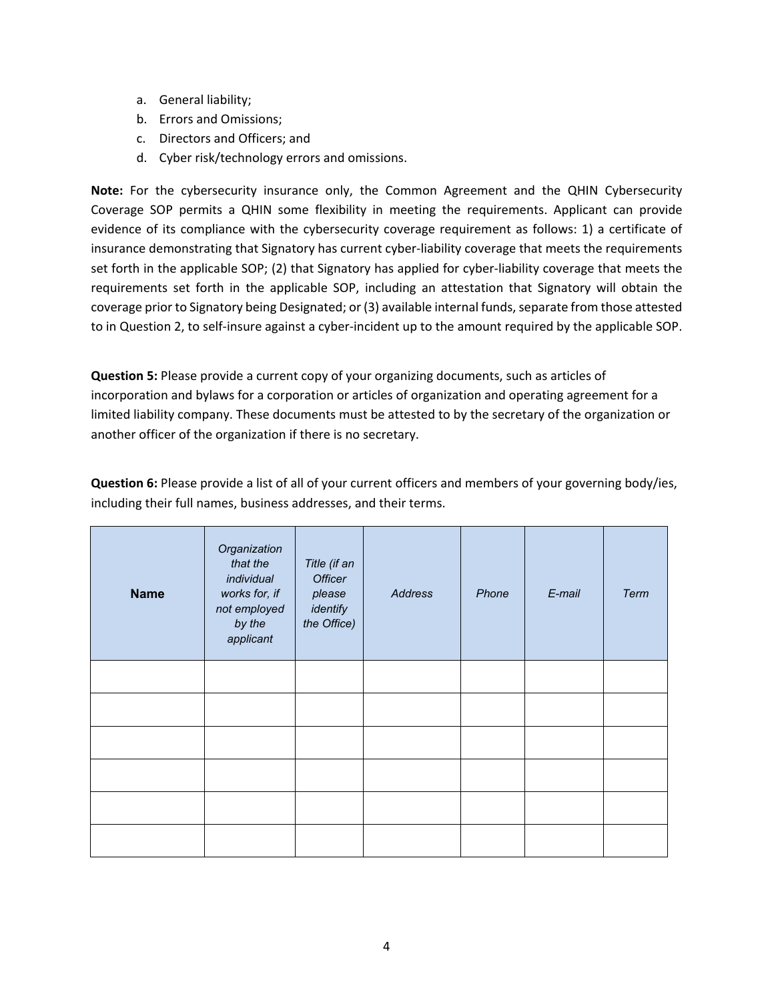- a. General liability;
- b. Errors and Omissions;
- c. Directors and Officers; and
- d. Cyber risk/technology errors and omissions.

**Note:** For the cybersecurity insurance only, the Common Agreement and the QHIN Cybersecurity Coverage SOP permits a QHIN some flexibility in meeting the requirements. Applicant can provide evidence of its compliance with the cybersecurity coverage requirement as follows: 1) a certificate of insurance demonstrating that Signatory has current cyber-liability coverage that meets the requirements set forth in the applicable SOP; (2) that Signatory has applied for cyber-liability coverage that meets the requirements set forth in the applicable SOP, including an attestation that Signatory will obtain the coverage prior to Signatory being Designated; or (3) available internal funds, separate from those attested to in Question 2, to self-insure against a cyber-incident up to the amount required by the applicable SOP.

**Question 5:** Please provide a current copy of your organizing documents, such as articles of incorporation and bylaws for a corporation or articles of organization and operating agreement for a limited liability company. These documents must be attested to by the secretary of the organization or another officer of the organization if there is no secretary.

**Question 6:** Please provide a list of all of your current officers and members of your governing body/ies, including their full names, business addresses, and their terms.

| <b>Name</b> | Organization<br>that the<br>individual<br>works for, if<br>not employed<br>by the<br>applicant | Title (if an<br><b>Officer</b><br>please<br>identify<br>the Office) | Address | Phone | E-mail | Term |
|-------------|------------------------------------------------------------------------------------------------|---------------------------------------------------------------------|---------|-------|--------|------|
|             |                                                                                                |                                                                     |         |       |        |      |
|             |                                                                                                |                                                                     |         |       |        |      |
|             |                                                                                                |                                                                     |         |       |        |      |
|             |                                                                                                |                                                                     |         |       |        |      |
|             |                                                                                                |                                                                     |         |       |        |      |
|             |                                                                                                |                                                                     |         |       |        |      |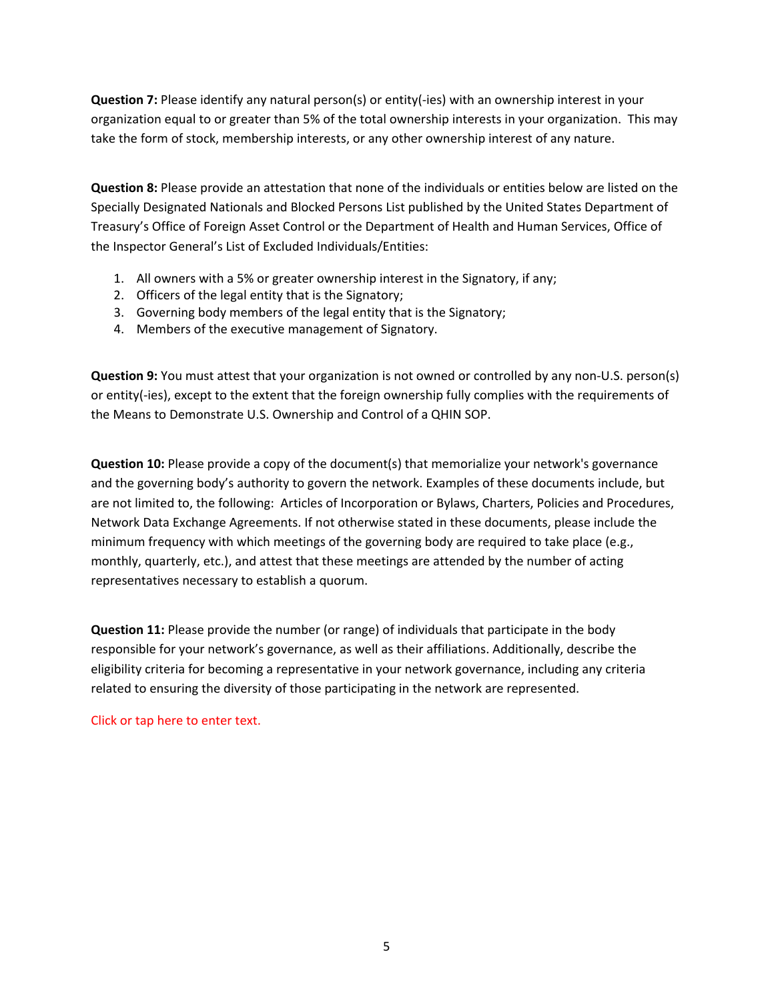**Question 7:** Please identify any natural person(s) or entity(-ies) with an ownership interest in your organization equal to or greater than 5% of the total ownership interests in your organization. This may take the form of stock, membership interests, or any other ownership interest of any nature.

**Question 8:** Please provide an attestation that none of the individuals or entities below are listed on the Specially Designated Nationals and Blocked Persons List published by the United States Department of Treasury's Office of Foreign Asset Control or the Department of Health and Human Services, Office of the Inspector General's List of Excluded Individuals/Entities:

- 1. All owners with a 5% or greater ownership interest in the Signatory, if any;
- 2. Officers of the legal entity that is the Signatory;
- 3. Governing body members of the legal entity that is the Signatory;
- 4. Members of the executive management of Signatory.

**Question 9:** You must attest that your organization is not owned or controlled by any non-U.S. person(s) or entity(-ies), except to the extent that the foreign ownership fully complies with the requirements of the Means to Demonstrate U.S. Ownership and Control of a QHIN SOP.

**Question 10:** Please provide a copy of the document(s) that memorialize your network's governance and the governing body's authority to govern the network. Examples of these documents include, but are not limited to, the following: Articles of Incorporation or Bylaws, Charters, Policies and Procedures, Network Data Exchange Agreements. If not otherwise stated in these documents, please include the minimum frequency with which meetings of the governing body are required to take place (e.g., monthly, quarterly, etc.), and attest that these meetings are attended by the number of acting representatives necessary to establish a quorum.

**Question 11:** Please provide the number (or range) of individuals that participate in the body responsible for your network's governance, as well as their affiliations. Additionally, describe the eligibility criteria for becoming a representative in your network governance, including any criteria related to ensuring the diversity of those participating in the network are represented.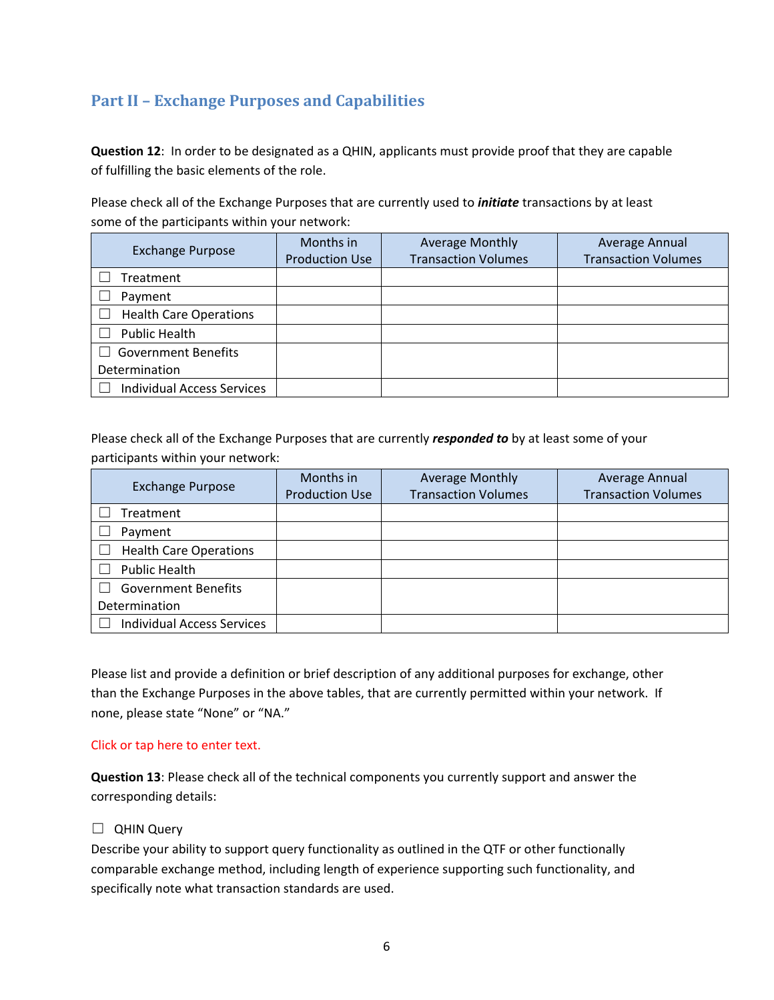# **Part II – Exchange Purposes and Capabilities**

**Question 12**: In order to be designated as a QHIN, applicants must provide proof that they are capable of fulfilling the basic elements of the role.

Please check all of the Exchange Purposes that are currently used to *initiate* transactions by at least some of the participants within your network:

| <b>Exchange Purpose</b>           | Months in<br><b>Production Use</b> | <b>Average Monthly</b><br><b>Transaction Volumes</b> | Average Annual<br><b>Transaction Volumes</b> |
|-----------------------------------|------------------------------------|------------------------------------------------------|----------------------------------------------|
| Treatment                         |                                    |                                                      |                                              |
| Payment                           |                                    |                                                      |                                              |
| <b>Health Care Operations</b>     |                                    |                                                      |                                              |
| <b>Public Health</b>              |                                    |                                                      |                                              |
| <b>Government Benefits</b>        |                                    |                                                      |                                              |
| Determination                     |                                    |                                                      |                                              |
| <b>Individual Access Services</b> |                                    |                                                      |                                              |

Please check all of the Exchange Purposes that are currently *responded to* by at least some of your participants within your network:

| <b>Exchange Purpose</b>           | Months in<br><b>Production Use</b> | <b>Average Monthly</b><br><b>Transaction Volumes</b> | Average Annual<br><b>Transaction Volumes</b> |
|-----------------------------------|------------------------------------|------------------------------------------------------|----------------------------------------------|
| Treatment                         |                                    |                                                      |                                              |
| Payment                           |                                    |                                                      |                                              |
| <b>Health Care Operations</b>     |                                    |                                                      |                                              |
| <b>Public Health</b>              |                                    |                                                      |                                              |
| <b>Government Benefits</b>        |                                    |                                                      |                                              |
| Determination                     |                                    |                                                      |                                              |
| <b>Individual Access Services</b> |                                    |                                                      |                                              |

Please list and provide a definition or brief description of any additional purposes for exchange, other than the Exchange Purposes in the above tables, that are currently permitted within your network. If none, please state "None" or "NA."

#### Click or tap here to enter text.

**Question 13**: Please check all of the technical components you currently support and answer the corresponding details:

#### □ QHIN Query

Describe your ability to support query functionality as outlined in the QTF or other functionally comparable exchange method, including length of experience supporting such functionality, and specifically note what transaction standards are used.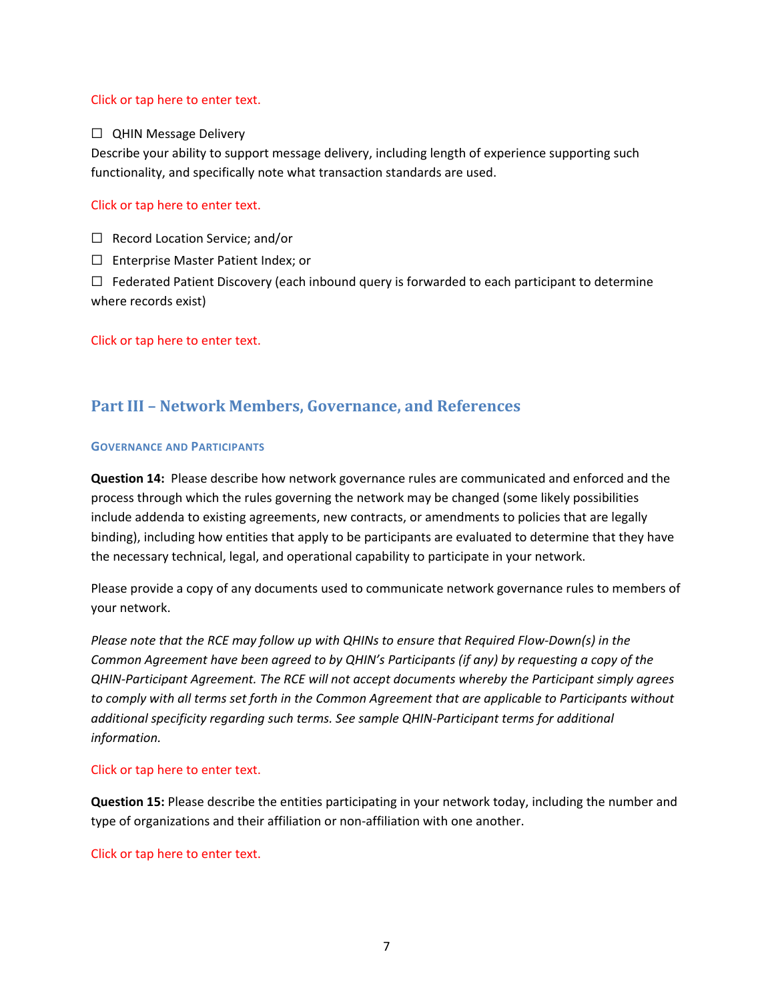#### Click or tap here to enter text.

#### □ QHIN Message Delivery

Describe your ability to support message delivery, including length of experience supporting such functionality, and specifically note what transaction standards are used.

#### Click or tap here to enter text.

☐ Record Location Service; and/or

☐ Enterprise Master Patient Index; or

 $\Box$  Federated Patient Discovery (each inbound query is forwarded to each participant to determine where records exist)

Click or tap here to enter text.

## **Part III – Network Members, Governance, and References**

#### **GOVERNANCE AND PARTICIPANTS**

**Question 14:** Please describe how network governance rules are communicated and enforced and the process through which the rules governing the network may be changed (some likely possibilities include addenda to existing agreements, new contracts, or amendments to policies that are legally binding), including how entities that apply to be participants are evaluated to determine that they have the necessary technical, legal, and operational capability to participate in your network.

Please provide a copy of any documents used to communicate network governance rules to members of your network.

*Please note that the RCE may follow up with QHINs to ensure that Required Flow-Down(s) in the Common Agreement have been agreed to by QHIN's Participants (if any) by requesting a copy of the QHIN-Participant Agreement. The RCE will not accept documents whereby the Participant simply agrees to comply with all terms set forth in the Common Agreement that are applicable to Participants without additional specificity regarding such terms. See sample QHIN-Participant terms for additional information.* 

#### Click or tap here to enter text.

**Question 15:** Please describe the entities participating in your network today, including the number and type of organizations and their affiliation or non-affiliation with one another.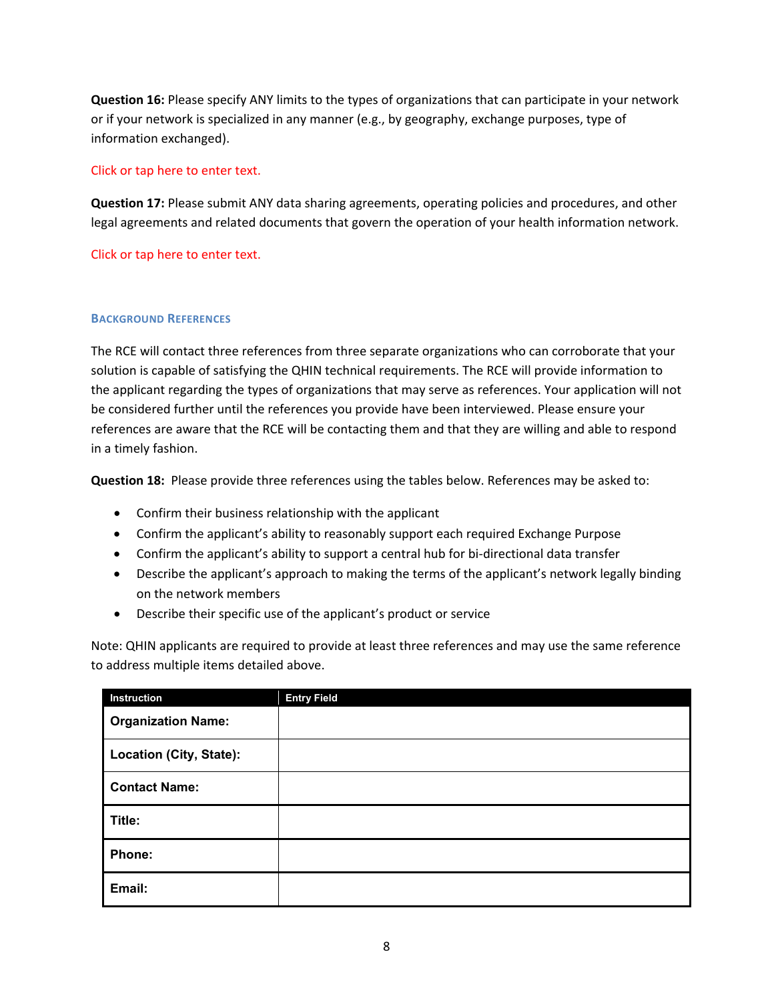**Question 16:** Please specify ANY limits to the types of organizations that can participate in your network or if your network is specialized in any manner (e.g., by geography, exchange purposes, type of information exchanged).

#### Click or tap here to enter text.

**Question 17:** Please submit ANY data sharing agreements, operating policies and procedures, and other legal agreements and related documents that govern the operation of your health information network.

Click or tap here to enter text.

#### **BACKGROUND REFERENCES**

The RCE will contact three references from three separate organizations who can corroborate that your solution is capable of satisfying the QHIN technical requirements. The RCE will provide information to the applicant regarding the types of organizations that may serve as references. Your application will not be considered further until the references you provide have been interviewed. Please ensure your references are aware that the RCE will be contacting them and that they are willing and able to respond in a timely fashion.

**Question 18:** Please provide three references using the tables below. References may be asked to:

- Confirm their business relationship with the applicant
- Confirm the applicant's ability to reasonably support each required Exchange Purpose
- Confirm the applicant's ability to support a central hub for bi-directional data transfer
- Describe the applicant's approach to making the terms of the applicant's network legally binding on the network members
- Describe their specific use of the applicant's product or service

Note: QHIN applicants are required to provide at least three references and may use the same reference to address multiple items detailed above.

| Instruction               | <b>Entry Field</b> |
|---------------------------|--------------------|
| <b>Organization Name:</b> |                    |
| Location (City, State):   |                    |
| <b>Contact Name:</b>      |                    |
| Title:                    |                    |
| Phone:                    |                    |
| Email:                    |                    |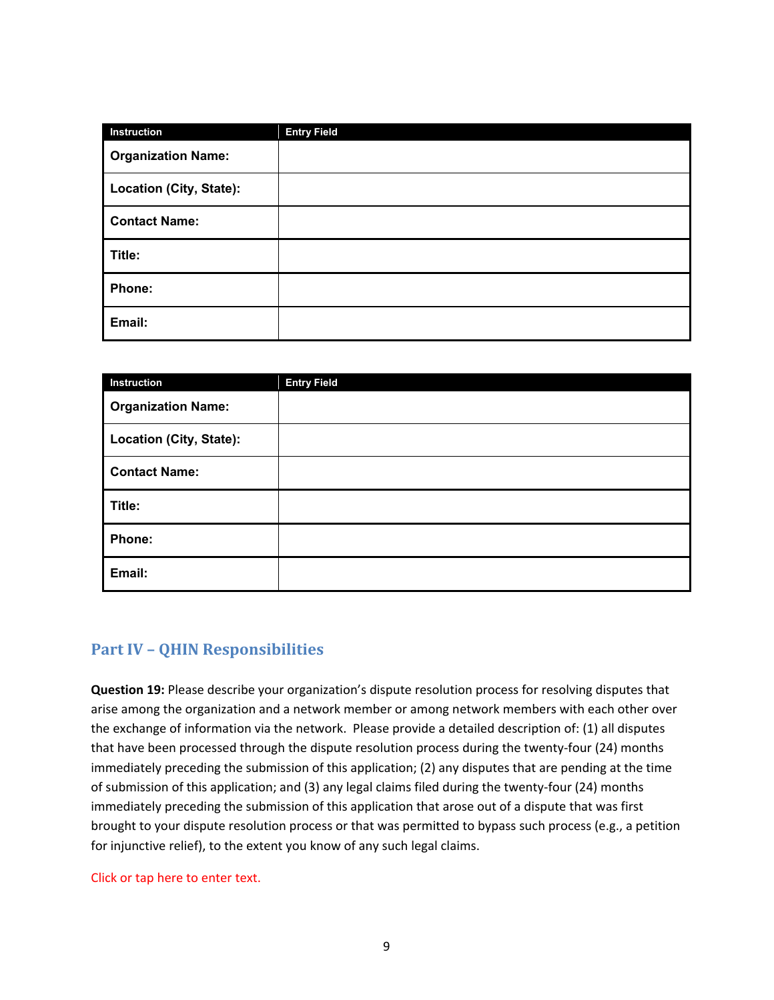| Instruction               | <b>Entry Field</b> |
|---------------------------|--------------------|
| <b>Organization Name:</b> |                    |
| Location (City, State):   |                    |
| <b>Contact Name:</b>      |                    |
| Title:                    |                    |
| Phone:                    |                    |
| Email:                    |                    |

| Instruction               | <b>Entry Field</b> |
|---------------------------|--------------------|
| <b>Organization Name:</b> |                    |
| Location (City, State):   |                    |
| <b>Contact Name:</b>      |                    |
| Title:                    |                    |
| Phone:                    |                    |
| Email:                    |                    |

## **Part IV – QHIN Responsibilities**

**Question 19:** Please describe your organization's dispute resolution process for resolving disputes that arise among the organization and a network member or among network members with each other over the exchange of information via the network. Please provide a detailed description of: (1) all disputes that have been processed through the dispute resolution process during the twenty-four (24) months immediately preceding the submission of this application; (2) any disputes that are pending at the time of submission of this application; and (3) any legal claims filed during the twenty-four (24) months immediately preceding the submission of this application that arose out of a dispute that was first brought to your dispute resolution process or that was permitted to bypass such process (e.g., a petition for injunctive relief), to the extent you know of any such legal claims.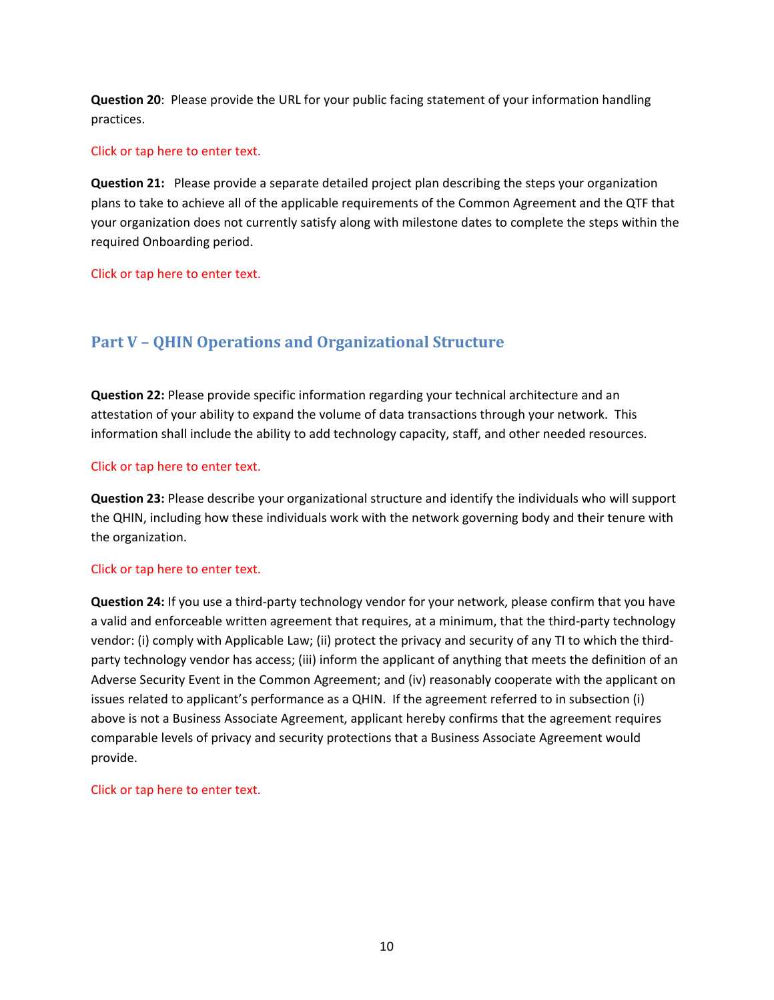**Question 20**: Please provide the URL for your public facing statement of your information handling practices.

#### Click or tap here to enter text.

**Question 21:** Please provide a separate detailed project plan describing the steps your organization plans to take to achieve all of the applicable requirements of the Common Agreement and the QTF that your organization does not currently satisfy along with milestone dates to complete the steps within the required Onboarding period.

Click or tap here to enter text.

# **Part V – QHIN Operations and Organizational Structure**

**Question 22:** Please provide specific information regarding your technical architecture and an attestation of your ability to expand the volume of data transactions through your network. This information shall include the ability to add technology capacity, staff, and other needed resources.

#### Click or tap here to enter text.

**Question 23:** Please describe your organizational structure and identify the individuals who will support the QHIN, including how these individuals work with the network governing body and their tenure with the organization.

#### Click or tap here to enter text.

**Question 24:** If you use a third-party technology vendor for your network, please confirm that you have a valid and enforceable written agreement that requires, at a minimum, that the third-party technology vendor: (i) comply with Applicable Law; (ii) protect the privacy and security of any TI to which the thirdparty technology vendor has access; (iii) inform the applicant of anything that meets the definition of an Adverse Security Event in the Common Agreement; and (iv) reasonably cooperate with the applicant on issues related to applicant's performance as a QHIN. If the agreement referred to in subsection (i) above is not a Business Associate Agreement, applicant hereby confirms that the agreement requires comparable levels of privacy and security protections that a Business Associate Agreement would provide.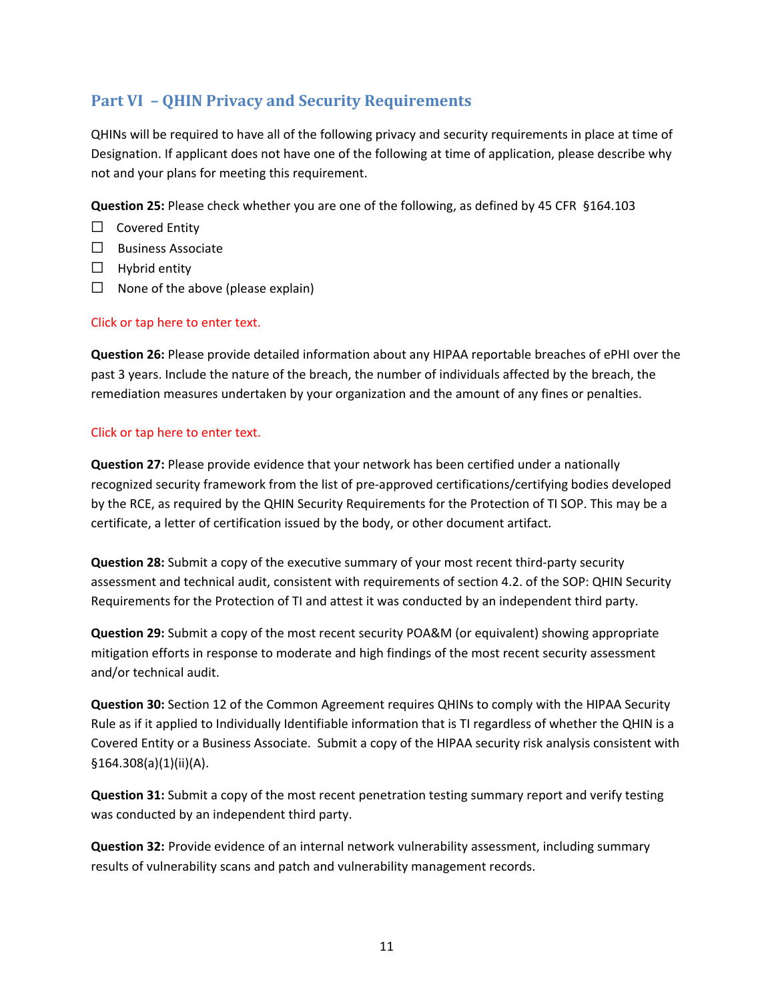# **Part VI – QHIN Privacy and Security Requirements**

QHINs will be required to have all of the following privacy and security requirements in place at time of Designation. If applicant does not have one of the following at time of application, please describe why not and your plans for meeting this requirement.

**Question 25:** Please check whether you are one of the following, as defined by 45 CFR §164.103

- ☐ Covered Entity
- ☐ Business Associate
- $\Box$  Hybrid entity
- $\Box$  None of the above (please explain)

#### Click or tap here to enter text.

**Question 26:** Please provide detailed information about any HIPAA reportable breaches of ePHI over the past 3 years. Include the nature of the breach, the number of individuals affected by the breach, the remediation measures undertaken by your organization and the amount of any fines or penalties.

#### Click or tap here to enter text.

**Question 27:** Please provide evidence that your network has been certified under a nationally recognized security framework from the list of pre-approved certifications/certifying bodies developed by the RCE, as required by the QHIN Security Requirements for the Protection of TI SOP. This may be a certificate, a letter of certification issued by the body, or other document artifact.

**Question 28:** Submit a copy of the executive summary of your most recent third-party security assessment and technical audit, consistent with requirements of section 4.2. of the SOP: QHIN Security Requirements for the Protection of TI and attest it was conducted by an independent third party.

**Question 29:** Submit a copy of the most recent security POA&M (or equivalent) showing appropriate mitigation efforts in response to moderate and high findings of the most recent security assessment and/or technical audit.

**Question 30:** Section 12 of the Common Agreement requires QHINs to comply with the HIPAA Security Rule as if it applied to Individually Identifiable information that is TI regardless of whether the QHIN is a Covered Entity or a Business Associate. Submit a copy of the HIPAA security risk analysis consistent with §164.308(a)(1)(ii)(A).

**Question 31:** Submit a copy of the most recent penetration testing summary report and verify testing was conducted by an independent third party.

**Question 32:** Provide evidence of an internal network vulnerability assessment, including summary results of vulnerability scans and patch and vulnerability management records.